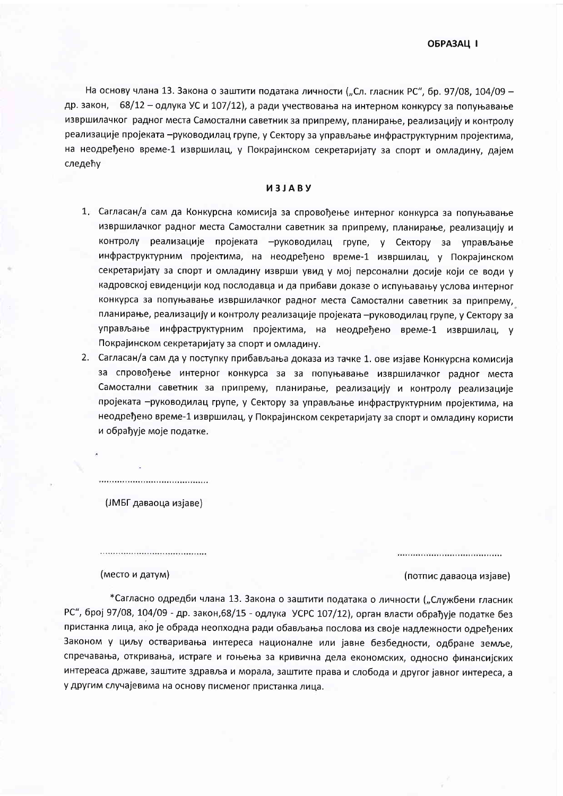На основу члана 13. Закона о заштити података личности ("Сл. гласник РС", бр. 97/08, 104/09 др. закон, 68/12 - одлука УС и 107/12), а ради учествовања на интерном конкурсу за попуњавање извршилачког радног места Самостални саветник за припрему, планирање, реализацију и контролу реализације пројеката -руководилац групе, у Сектору за управљање инфраструктурним пројектима, на неодређено време-1 извршилац, у Покрајинском секретаријату за спорт и омладину, дајем следећу

## *M3JABY*

- 1. Сагласан/а сам да Конкурсна комисија за спровођење интерног конкурса за попуњавање извршилачког радног места Самостални саветник за припрему, планирање, реализацију и контролу реализације пројеката - руководилац групе, у Сектору за управљање инфраструктурним пројектима, на неодређено време-1 извршилац, у Покрајинском секретаријату за спорт и омладину изврши увид у мој персонални досије који се води у кадровској евиденцији код послодавца и да прибави доказе о испуњавању услова интерног конкурса за попуњавање извршилачког радног места Самостални саветник за припрему, планирање, реализацију и контролу реализације пројеката -руководилац групе, у Сектору за управљање инфраструктурним пројектима, на неодређено време-1 извршилац, у Покрајинском секретаријату за спорт и омладину.
- 2. Сагласан/а сам да у поступку прибављања доказа из тачке 1. ове изјаве Конкурсна комисија за спровођење интерног конкурса за за попуњавање извршилачког радног места Самостални саветник за припрему, планирање, реализацију и контролу реализације пројеката -руководилац групе, у Сектору за управљање инфраструктурним пројектима, на неодређено време-1 извршилац, у Покрајинском секретаријату за спорт и омладину користи и обрађује моје податке.

(ЈМБГ даваоца изјаве)

(место и датум)

## (потпис даваоца изјаве)

\*Сагласно одредби члана 13. Закона о заштити података о личности ("Службени гласник РС", број 97/08, 104/09 - др. закон, 68/15 - одлука УСРС 107/12), орган власти обрађује податке без пристанка лица, ако је обрада неопходна ради обављања послова из своје надлежности одређених Законом у циљу остваривања интереса националне или јавне безбедности, одбране земље, спречавања, откривања, истраге и гоњења за кривична дела економских, односно финансијских интереаса државе, заштите здравља и морала, заштите права и слобода и другог јавног интереса, а у другим случајевима на основу писменог пристанка лица.